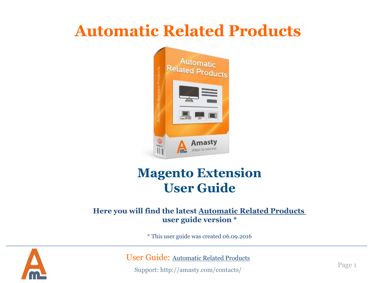# **Automatic Related Products**



## **Magento Extension User Guide**

#### **Here you will find the latest [Automatic Related Products](https://amasty.com/docs/doku.php?id=magento_1:automatic-related-products)  user guide version \***

\* This user guide was created 06.09.2016



User Guide: [Automatic Related Products](https://amasty.com/magento-automatic-related-products.html)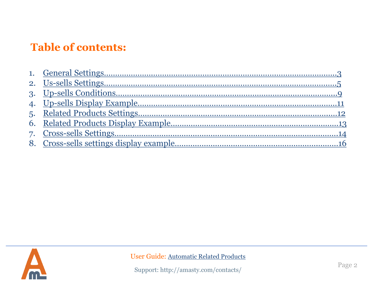## **Table of contents:**

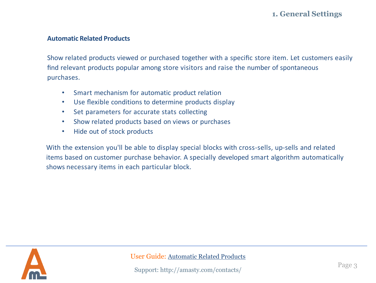### **1. General Settings**

#### **Automatic Related Products**

Show related products viewed or purchased together with a specific store item. Let customers easily find relevant products popular among store visitors and raise the number of spontaneous purchases.

- Smart mechanism for automatic product relation
- Use flexible conditions to determine products display
- Set parameters for accurate stats collecting
- Show related products based on views or purchases
- Hide out of stock products

With the extension you'll be able to display special blocks with cross-sells, up-sells and related items based on customer purchase behavior. A specially developed smart algorithm automatically shows necessary items in each particular block.

<span id="page-2-0"></span>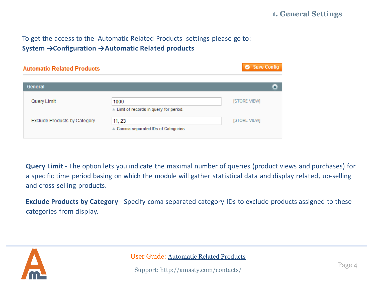#### To get the access to the 'Automatic Related Products' settings please go to: **System →Configuration →Automatic Related products**

| <b>Automatic Related Products</b>   |                                                 | Save Config         |
|-------------------------------------|-------------------------------------------------|---------------------|
| General                             |                                                 | $\blacktriangle$    |
| Query Limit                         | 1000<br>▲ Limit of records in query for period. | [STORE VIEW]        |
| <b>Exclude Products by Category</b> | 11, 23<br>▲ Comma separated IDs of Categories.  | <b>ISTORE VIEWI</b> |

**Query Limit** - The option lets you indicate the maximal number of queries (product views and purchases) for a specific time period basing on which the module will gather statistical data and display related, up-selling and cross-selling products.

**Exclude Products by Category** - Specify coma separated category IDs to exclude products assigned to these categories from display.



User Guide: [Automatic Related Products](https://amasty.com/magento-automatic-related-products.html)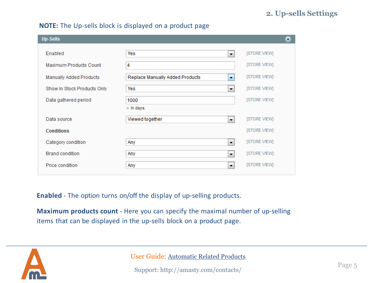#### **2. Up-sells Settings**

#### **NOTE:** The Up-sells block is displayed on a product page

| <b>Up-Sells</b>             |                                                   | Δ                   |
|-----------------------------|---------------------------------------------------|---------------------|
| Enabled                     | Yes<br>Ψ.                                         | [STORE VIEW]        |
| Maximum Products Count      | 4                                                 | <b>ISTORE VIEWI</b> |
| Manually Added Products     | Replace Manually Added Products<br>$\blacksquare$ | <b>ISTORE VIEWI</b> |
| Show In Stock Products Only | Yes<br>▼.                                         | [STORE VIEW]        |
| Data gathered period        | 1000                                              | [STORE VIEW]        |
|                             | $\triangle$ In days.                              |                     |
| Data source                 | Viewed together<br>÷                              | [STORE VIEW]        |
| <b>Conditions</b>           |                                                   | <b>ISTORE VIEWI</b> |
| Category condition          | Any<br>Ψ.                                         | [STORE VIEW]        |
| <b>Brand condition</b>      | Any<br>÷                                          | [STORE VIEW]        |
| Price condition             | Any<br>Ψ.                                         | [STORE VIEW]        |
|                             |                                                   |                     |

**Enabled** - The option turns on/off the display of up-selling products.

**Maximum products count** - Here you can specify the maximal number of up-selling items that can be displayed in the up-sells block on a product page.

<span id="page-4-0"></span>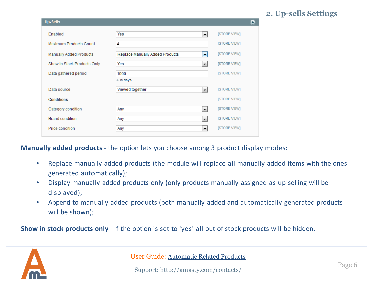#### **2. Up-sells Settings**

| <b>Up-Sells</b>               |                                 |                      |                     | Δ |
|-------------------------------|---------------------------------|----------------------|---------------------|---|
| Enabled                       | Yes                             | ۰,                   | <b>ISTORE VIEWI</b> |   |
| <b>Maximum Products Count</b> | 4                               |                      | [STORE VIEW]        |   |
| Manually Added Products       | Replace Manually Added Products | $\blacktriangledown$ | [STORE VIEW]        |   |
| Show In Stock Products Only   | Yes                             | ۰,                   | [STORE VIEW]        |   |
| Data gathered period          | 1000                            |                      | <b>ISTORE VIEWI</b> |   |
|                               | $\triangle$ In days.            |                      |                     |   |
| Data source                   | Viewed together                 | $\blacktriangledown$ | <b>ISTORE VIEWI</b> |   |
| <b>Conditions</b>             |                                 |                      | [STORE VIEW]        |   |
| Category condition            | Any                             | ×                    | <b>ISTORE VIEWI</b> |   |
| <b>Brand condition</b>        | Any                             | ۰,                   | [STORE VIEW]        |   |
| Price condition               | Any                             | ×                    | [STORE VIEW]        |   |

**Manually added products** - the option lets you choose among 3 product display modes:

- Replace manually added products (the module will replace all manually added items with the ones generated automatically);
- Display manually added products only (only products manually assigned as up-selling will be displayed);
- Append to manually added products (both manually added and automatically generated products will be shown);

**Show in stock products only** - If the option is set to 'yes' all out of stock products will be hidden.

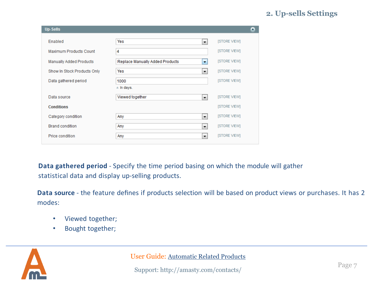#### **2. Up-sells Settings**

| <b>Up-Sells</b>                |                                             | Δ                   |
|--------------------------------|---------------------------------------------|---------------------|
| Enabled                        | Yes<br>$\overline{\phantom{a}}$             | <b>ISTORE VIEWI</b> |
| Maximum Products Count         | 4                                           | [STORE VIEW]        |
| <b>Manually Added Products</b> | Replace Manually Added Products<br>٠        | [STORE VIEW]        |
| Show In Stock Products Only    | Yes<br>۰,                                   | <b>ISTORE VIEWI</b> |
| Data gathered period           | 1000                                        | <b>ISTORE VIEWI</b> |
|                                | A In days.                                  |                     |
| Data source                    | Viewed together<br>$\overline{\phantom{a}}$ | <b>ISTORE VIEWI</b> |
| <b>Conditions</b>              |                                             | <b>ISTORE VIEWI</b> |
| Category condition             | $\overline{\phantom{a}}$<br>Any             | <b>ISTORE VIEWI</b> |
| <b>Brand condition</b>         | Any<br>$\overline{\phantom{a}}$             | [STORE VIEW]        |
| Price condition                | Any<br>$\overline{\mathbf{r}}$              | <b>ISTORE VIEWI</b> |

**Data gathered period** - Specify the time period basing on which the module will gather statistical data and display up-selling products.

**Data source** - the feature defines if products selection will be based on product views or purchases. It has 2 modes:

- Viewed together;
- Bought together;



User Guide: [Automatic Related Products](https://amasty.com/magento-automatic-related-products.html)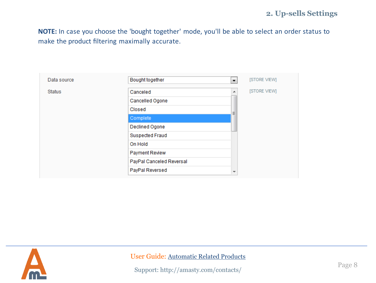**NOTE:** In case you choose the 'bought together' mode, you'll be able to select an order status to make the product filtering maximally accurate.

| Data source   | Bought together          | ▼.                       | [STORE VIEW] |
|---------------|--------------------------|--------------------------|--------------|
| <b>Status</b> | Canceled                 | ┻                        | [STORE VIEW] |
|               | Cancelled Ogone          |                          |              |
|               | Closed                   | Ξ                        |              |
|               | Complete                 |                          |              |
|               | Declined Ogone           |                          |              |
|               | Suspected Fraud          |                          |              |
|               | On Hold                  |                          |              |
|               | <b>Payment Review</b>    |                          |              |
|               | PayPal Canceled Reversal |                          |              |
|               | PayPal Reversed          | $\overline{\phantom{a}}$ |              |

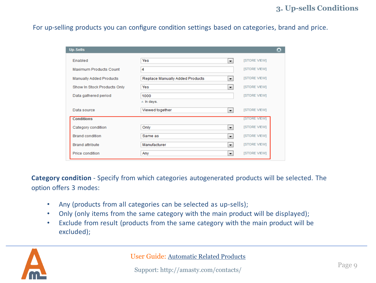#### **3. Up-sells Conditions**

For up-selling products you can configure condition settings based on categories, brand and price.

| <b>Up-Sells</b>                |                                 |                          |                     | ▲ |
|--------------------------------|---------------------------------|--------------------------|---------------------|---|
| Enabled                        | Yes                             | $\blacksquare$           | <b>ISTORE VIEWI</b> |   |
| Maximum Products Count         | 4                               |                          | [STORE VIEW]        |   |
| <b>Manually Added Products</b> | Replace Manually Added Products | $\blacksquare$           | [STORE VIEW]        |   |
| Show In Stock Products Only    | Yes                             | $\overline{\phantom{a}}$ | [STORE VIEW]        |   |
| Data gathered period           | 1000                            |                          | <b>ISTORE VIEWI</b> |   |
|                                | $\triangle$ In days.            |                          |                     |   |
| Data source                    | Viewed together                 | $\overline{\phantom{a}}$ | [STORE VIEW]        |   |
| <b>Conditions</b>              |                                 |                          | <b>ISTORE VIEWI</b> |   |
| Category condition             | Only                            | ×.                       | [STORE VIEW]        |   |
| <b>Brand condition</b>         | Same as                         | ×.                       | [STORE VIEW]        |   |
| <b>Brand attribute</b>         | Manufacturer                    | $\blacktriangledown$     | [STORE VIEW]        |   |
| Price condition                | Any                             | $\overline{\phantom{a}}$ | <b>ISTORE VIEWI</b> |   |

**Category condition** - Specify from which categories autogenerated products will be selected. The option offers 3 modes:

- Any (products from all categories can be selected as up-sells);
- Only (only items from the same category with the main product will be displayed);
- Exclude from result (products from the same category with the main product will be excluded);

<span id="page-8-0"></span>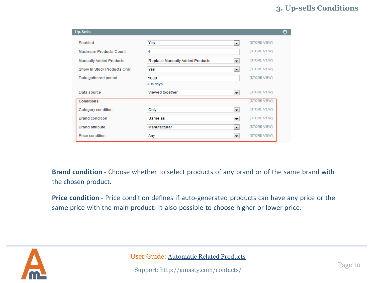| <b>Up-Sells</b>             |                                             | ◚                   |
|-----------------------------|---------------------------------------------|---------------------|
| Enabled                     | Yes<br>▾▏                                   | [STORE VIEW]        |
| Maximum Products Count      | 4                                           | <b>ISTORE VIEWI</b> |
| Manually Added Products     | Replace Manually Added Products<br>۰.       | [STORE VIEW]        |
| Show In Stock Products Only | Yes<br>Ψ.                                   | <b>ISTORE VIEWI</b> |
| Data gathered period        | 1000                                        | <b>ISTORE VIEWI</b> |
|                             | ▲ In days.                                  |                     |
| Data source                 | Viewed together<br>$\overline{\phantom{a}}$ | [STORE VIEW]        |
| <b>Conditions</b>           |                                             | <b>ISTORE VIEWI</b> |
| Category condition          | Only<br>×.                                  | [STORE VIEW]        |
| <b>Brand condition</b>      | Same as<br>$\blacktriangledown$             | [STORE VIEW]        |
| <b>Brand attribute</b>      | Manufacturer<br>$\blacktriangledown$        | <b>ISTORE VIEWI</b> |
| Price condition             | Any<br>▼                                    | <b>ISTORE VIEWI</b> |

**Brand condition** - Choose whether to select products of any brand or of the same brand with the chosen product.

**Price condition** - Price condition defines if auto-generated products can have any price or the same price with the main product. It also possible to choose higher or lower price.

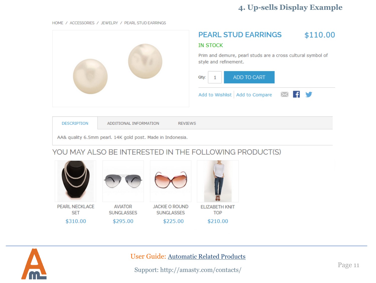### **4. Up-sells Display Example**

HOME / ACCESSORIES / JEWELRY / PEARL STUD EARRINGS



| <b>DESCRIPTION</b> | ADDITIONAL INFORMATION                                     | <b>REVIEWS</b> |
|--------------------|------------------------------------------------------------|----------------|
|                    | AA& quality 6.5mm pearl. 14K gold post. Made in Indonesia. |                |

#### YOU MAY ALSO BE INTERESTED IN THE FOLLOWING PRODUCT(S)



<span id="page-10-0"></span>

User Guide: [Automatic Related Products](https://amasty.com/magento-automatic-related-products.html)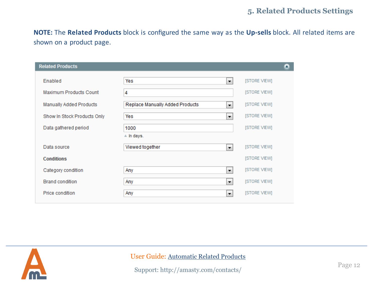**NOTE:** The **Related Products** block is configured the same way as the **Up-sells** block. All related items are shown on a product page.

| <b>Related Products</b>     |                                      | Δ                   |
|-----------------------------|--------------------------------------|---------------------|
| Enabled                     | Yes<br>۰,                            | [STORE VIEW]        |
| Maximum Products Count      | 4                                    | [STORE VIEW]        |
| Manually Added Products     | Replace Manually Added Products<br>÷ | <b>ISTORE VIEWI</b> |
| Show In Stock Products Only | Yes<br>÷                             | <b>ISTORE VIEWI</b> |
| Data gathered period        | 1000                                 | <b>ISTORE VIEWI</b> |
|                             | $\triangle$ In days.                 |                     |
| Data source                 | Viewed together<br>۰,                | [STORE VIEW]        |
| <b>Conditions</b>           |                                      | <b>ISTORE VIEWI</b> |
| Category condition          | ۰,<br>Any                            | [STORE VIEW]        |
| <b>Brand condition</b>      | ۰,<br>Any                            | [STORE VIEW]        |
| Price condition             | Any<br>÷                             | [STORE VIEW]        |
|                             |                                      |                     |

<span id="page-11-0"></span>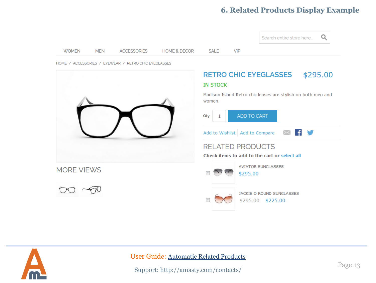#### **6. Related Products Display Example**



<span id="page-12-0"></span>

User Guide: [Automatic Related Products](https://amasty.com/magento-automatic-related-products.html)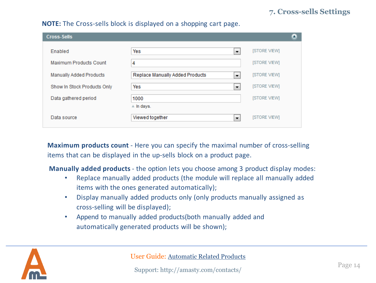| <b>Cross-Sells</b>             |                                      | $\triangle$         |
|--------------------------------|--------------------------------------|---------------------|
| Enabled                        | Yes<br>▼                             | [STORE VIEW]        |
| Maximum Products Count         | 4                                    | <b>ISTORE VIEWI</b> |
| <b>Manually Added Products</b> | Replace Manually Added Products<br>÷ | <b>ISTORE VIEWI</b> |
| Show In Stock Products Only    | Yes<br>۰,                            | [STORE VIEW]        |
| Data gathered period           | 1000                                 | <b>ISTORE VIEWI</b> |
|                                | $\triangle$ In days.                 |                     |
| Data source                    | Viewed together<br>÷                 | <b>ISTORE VIEWI</b> |

**NOTE:** The Cross-sells block is displayed on a shopping cart page.

**Maximum products count** - Here you can specify the maximal number of cross-selling items that can be displayed in the up-sells block on a product page.

**Manually added products** - the option lets you choose among 3 product display modes:

- Replace manually added products (the module will replace all manually added items with the ones generated automatically);
- Display manually added products only (only products manually assigned as cross-selling will be displayed);
- Append to manually added products(both manually added and automatically generated products will be shown);

<span id="page-13-0"></span>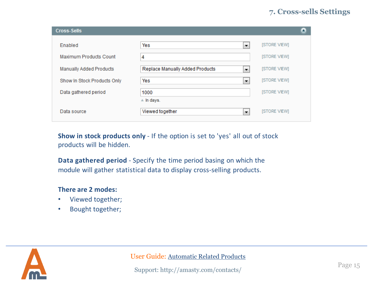| <b>Cross-Sells</b>          |                                                             | ▲                   |
|-----------------------------|-------------------------------------------------------------|---------------------|
| Enabled                     | Yes<br>▼                                                    | [STORE VIEW]        |
| Maximum Products Count      | 4                                                           | [STORE VIEW]        |
| Manually Added Products     | Replace Manually Added Products<br>$\overline{\phantom{a}}$ | <b>ISTORE VIEWI</b> |
| Show In Stock Products Only | Yes<br>$\overline{\phantom{a}}$                             | <b>ISTORE VIEWI</b> |
| Data gathered period        | 1000                                                        | <b>ISTORE VIEWI</b> |
|                             | $\triangle$ In days.                                        |                     |
| Data source                 | Viewed together<br>▼                                        | <b>ISTORE VIEWI</b> |

**Show in stock products only** - If the option is set to 'yes' all out of stock products will be hidden.

**Data gathered period** - Specify the time period basing on which the module will gather statistical data to display cross-selling products.

#### **There are 2 modes:**

- Viewed together;
- Bought together;

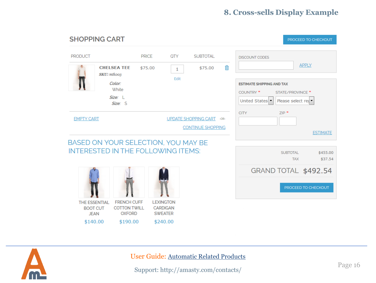### **8. Cross-sells Display Example**

| <b>SHOPPING CART</b>                                                             |                                                                        |                                                                   |                            |                                           | PROCEED TO CHECKOUT                                                                                                |
|----------------------------------------------------------------------------------|------------------------------------------------------------------------|-------------------------------------------------------------------|----------------------------|-------------------------------------------|--------------------------------------------------------------------------------------------------------------------|
| <b>PRODUCT</b><br><b>CHELSEA TEE</b>                                             | <b>PRICE</b><br>\$75.00                                                | <b>QTY</b><br>1                                                   | <b>SUBTOTAL</b><br>\$75.00 | 血                                         | <b>DISCOUNT CODES</b><br><b>APPLY</b>                                                                              |
| <b>SKU:</b> mtkoo3<br>Color:<br><b>White</b><br>$Size: \ \ \sqcup$               | Size: S                                                                | Edit                                                              |                            |                                           | <b>ESTIMATE SHIPPING AND TAX</b><br>COUNTRY <sup>*</sup><br>STATE/PROVINCE *<br>Please select red<br>United States |
| <b>EMPTY CART</b><br>UPDATE SHOPPING CART -OR-<br><b>CONTINUE SHOPPING</b>       |                                                                        |                                                                   |                            | <b>CITY</b><br>$ZIP$ *<br><b>ESTIMATE</b> |                                                                                                                    |
| BASED ON YOUR SELECTION, YOU MAY BE<br><b>INTERESTED IN THE FOLLOWING ITEMS:</b> |                                                                        |                                                                   |                            |                                           | <b>SUBTOTAL</b><br>\$455.00<br>\$37.54<br><b>TAX</b>                                                               |
|                                                                                  |                                                                        |                                                                   |                            |                                           | GRAND TOTAL \$492.54<br>PROCEED TO CHECKOUT                                                                        |
| <b>THE ESSENTIAL</b><br><b>BOOT CUT</b><br><b>JEAN</b><br>\$140.00               | <b>FRENCH CUFF</b><br><b>COTTON TWILL</b><br><b>OXFORD</b><br>\$190.00 | <b>LEXINGTON</b><br><b>CARDIGAN</b><br><b>SWEATER</b><br>\$240.00 |                            |                                           |                                                                                                                    |

<span id="page-15-0"></span>

User Guide: [Automatic Related Products](https://amasty.com/magento-automatic-related-products.html)